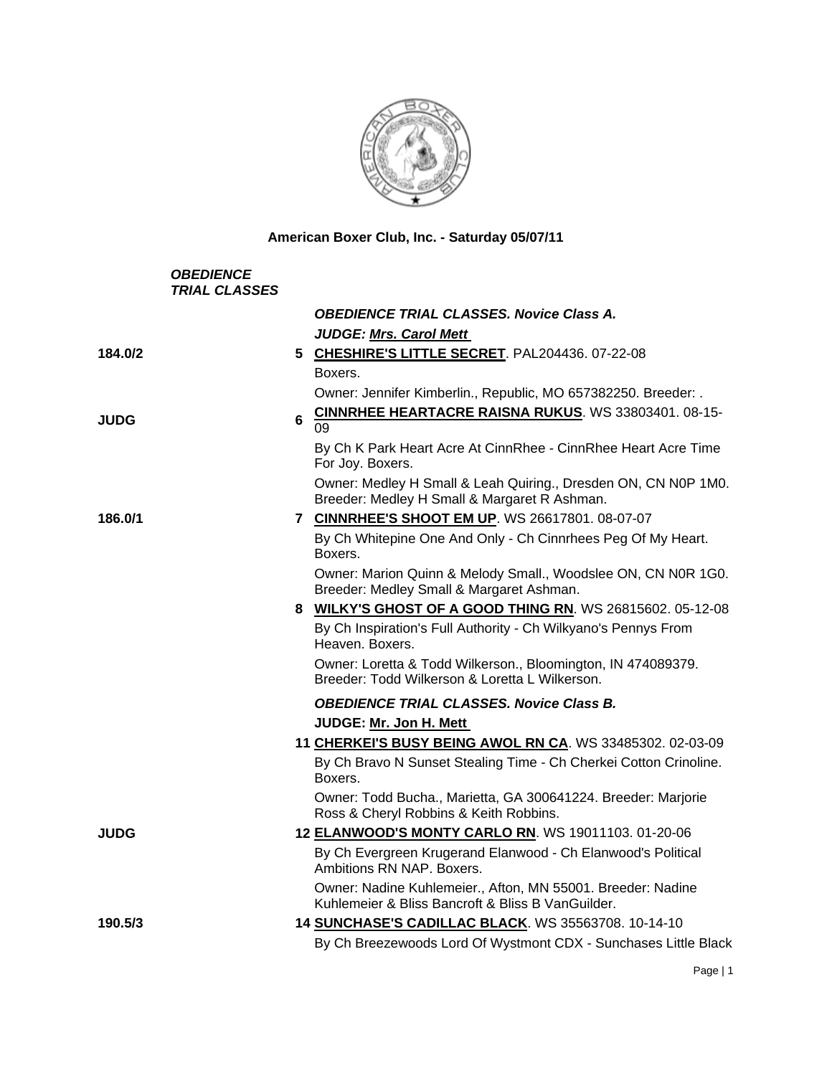

**American Boxer Club, Inc. - Saturday 05/07/11** 

| <b>OBEDIENCE</b><br><b>TRIAL CLASSES</b> |                                                                                                                  |
|------------------------------------------|------------------------------------------------------------------------------------------------------------------|
|                                          | <b>OBEDIENCE TRIAL CLASSES. Novice Class A.</b>                                                                  |
|                                          | <b>JUDGE: Mrs. Carol Mett</b>                                                                                    |
| 184.0/2                                  | 5 CHESHIRE'S LITTLE SECRET. PAL204436. 07-22-08                                                                  |
|                                          | Boxers.                                                                                                          |
|                                          | Owner: Jennifer Kimberlin., Republic, MO 657382250. Breeder: .                                                   |
| 6<br><b>JUDG</b>                         | <b>CINNRHEE HEARTACRE RAISNA RUKUS. WS 33803401.08-15-</b><br>09                                                 |
|                                          | By Ch K Park Heart Acre At CinnRhee - CinnRhee Heart Acre Time<br>For Joy. Boxers.                               |
|                                          | Owner: Medley H Small & Leah Quiring., Dresden ON, CN N0P 1M0.<br>Breeder: Medley H Small & Margaret R Ashman.   |
| 186.0/1                                  | 7 CINNRHEE'S SHOOT EM UP. WS 26617801. 08-07-07                                                                  |
|                                          | By Ch Whitepine One And Only - Ch Cinnrhees Peg Of My Heart.<br>Boxers.                                          |
|                                          | Owner: Marion Quinn & Melody Small., Woodslee ON, CN N0R 1G0.<br>Breeder: Medley Small & Margaret Ashman.        |
|                                          | 8 WILKY'S GHOST OF A GOOD THING RN. WS 26815602. 05-12-08                                                        |
|                                          | By Ch Inspiration's Full Authority - Ch Wilkyano's Pennys From<br>Heaven. Boxers.                                |
|                                          | Owner: Loretta & Todd Wilkerson., Bloomington, IN 474089379.<br>Breeder: Todd Wilkerson & Loretta L Wilkerson.   |
|                                          | <b>OBEDIENCE TRIAL CLASSES. Novice Class B.</b>                                                                  |
|                                          | JUDGE: Mr. Jon H. Mett                                                                                           |
|                                          | 11 CHERKEI'S BUSY BEING AWOL RN CA. WS 33485302. 02-03-09                                                        |
|                                          | By Ch Bravo N Sunset Stealing Time - Ch Cherkei Cotton Crinoline.<br>Boxers.                                     |
|                                          | Owner: Todd Bucha., Marietta, GA 300641224. Breeder: Marjorie<br>Ross & Cheryl Robbins & Keith Robbins.          |
| <b>JUDG</b>                              | 12 ELANWOOD'S MONTY CARLO RN. WS 19011103. 01-20-06                                                              |
|                                          | By Ch Evergreen Krugerand Elanwood - Ch Elanwood's Political<br>Ambitions RN NAP. Boxers.                        |
|                                          | Owner: Nadine Kuhlemeier., Afton, MN 55001. Breeder: Nadine<br>Kuhlemeier & Bliss Bancroft & Bliss B VanGuilder. |
| 190.5/3                                  | 14 SUNCHASE'S CADILLAC BLACK. WS 35563708. 10-14-10                                                              |
|                                          | By Ch Breezewoods Lord Of Wystmont CDX - Sunchases Little Black                                                  |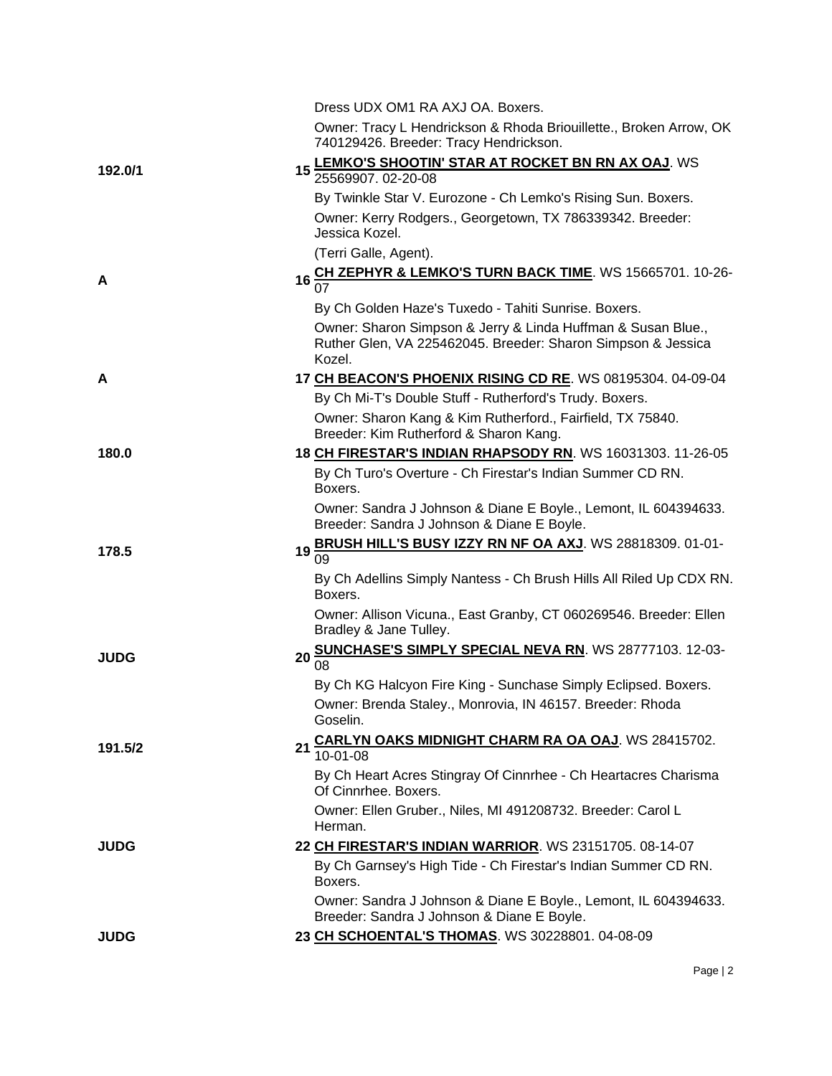|             | Dress UDX OM1 RA AXJ OA. Boxers.                                                                                                       |
|-------------|----------------------------------------------------------------------------------------------------------------------------------------|
|             | Owner: Tracy L Hendrickson & Rhoda Briouillette., Broken Arrow, OK<br>740129426. Breeder: Tracy Hendrickson.                           |
|             | 15 LEMKO'S SHOOTIN' STAR AT ROCKET BN RN AX OAJ. WS                                                                                    |
| 192.0/1     | 25569907.02-20-08                                                                                                                      |
|             | By Twinkle Star V. Eurozone - Ch Lemko's Rising Sun. Boxers.                                                                           |
|             | Owner: Kerry Rodgers., Georgetown, TX 786339342. Breeder:<br>Jessica Kozel.                                                            |
|             | (Terri Galle, Agent).                                                                                                                  |
| A           | 16 CH ZEPHYR & LEMKO'S TURN BACK TIME. WS 15665701. 10-26-<br>07                                                                       |
|             | By Ch Golden Haze's Tuxedo - Tahiti Sunrise. Boxers.                                                                                   |
|             | Owner: Sharon Simpson & Jerry & Linda Huffman & Susan Blue.,<br>Ruther Glen, VA 225462045. Breeder: Sharon Simpson & Jessica<br>Kozel. |
| A           | 17 CH BEACON'S PHOENIX RISING CD RE. WS 08195304. 04-09-04                                                                             |
|             | By Ch Mi-T's Double Stuff - Rutherford's Trudy. Boxers.                                                                                |
|             | Owner: Sharon Kang & Kim Rutherford., Fairfield, TX 75840.<br>Breeder: Kim Rutherford & Sharon Kang.                                   |
| 180.0       | 18 CH FIRESTAR'S INDIAN RHAPSODY RN. WS 16031303. 11-26-05                                                                             |
|             | By Ch Turo's Overture - Ch Firestar's Indian Summer CD RN.<br>Boxers.                                                                  |
|             | Owner: Sandra J Johnson & Diane E Boyle., Lemont, IL 604394633.<br>Breeder: Sandra J Johnson & Diane E Boyle.                          |
| 178.5       | 19 BRUSH HILL'S BUSY IZZY RN NF OA AXJ. WS 28818309. 01-01-<br>09                                                                      |
|             | By Ch Adellins Simply Nantess - Ch Brush Hills All Riled Up CDX RN.<br>Boxers.                                                         |
|             | Owner: Allison Vicuna., East Granby, CT 060269546. Breeder: Ellen<br>Bradley & Jane Tulley.                                            |
| <b>JUDG</b> | 20 SUNCHASE'S SIMPLY SPECIAL NEVA RN. WS 28777103. 12-03-                                                                              |
|             | By Ch KG Halcyon Fire King - Sunchase Simply Eclipsed. Boxers.                                                                         |
|             | Owner: Brenda Staley., Monrovia, IN 46157. Breeder: Rhoda<br>Goselin.                                                                  |
| 191.5/2     | 21 CARLYN OAKS MIDNIGHT CHARM RA OA OAJ. WS 28415702.<br>$10-01-08$                                                                    |
|             | By Ch Heart Acres Stingray Of Cinnrhee - Ch Heartacres Charisma<br>Of Cinnrhee. Boxers.                                                |
|             | Owner: Ellen Gruber., Niles, MI 491208732. Breeder: Carol L<br>Herman.                                                                 |
| <b>JUDG</b> | 22 CH FIRESTAR'S INDIAN WARRIOR. WS 23151705. 08-14-07                                                                                 |
|             | By Ch Garnsey's High Tide - Ch Firestar's Indian Summer CD RN.<br>Boxers.                                                              |
|             | Owner: Sandra J Johnson & Diane E Boyle., Lemont, IL 604394633.<br>Breeder: Sandra J Johnson & Diane E Boyle.                          |
| <b>JUDG</b> | 23 CH SCHOENTAL'S THOMAS. WS 30228801. 04-08-09                                                                                        |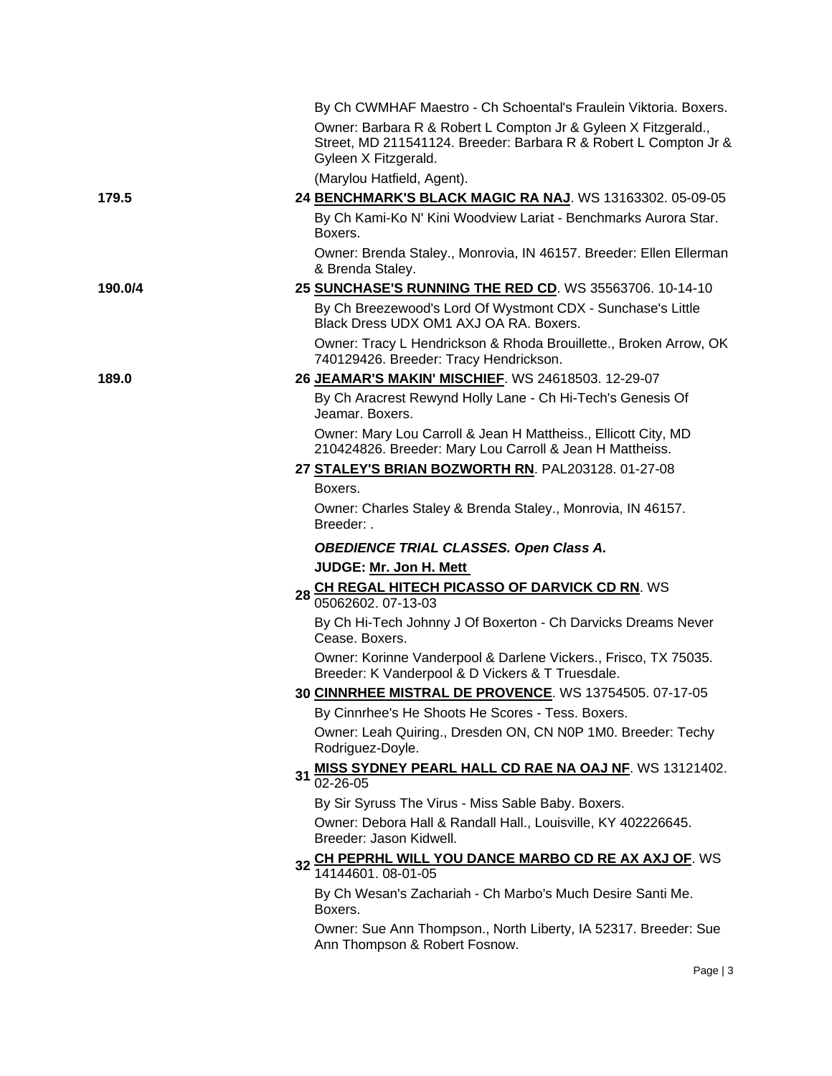|         | By Ch CWMHAF Maestro - Ch Schoental's Fraulein Viktoria. Boxers.                                                                                           |
|---------|------------------------------------------------------------------------------------------------------------------------------------------------------------|
|         | Owner: Barbara R & Robert L Compton Jr & Gyleen X Fitzgerald.,<br>Street, MD 211541124. Breeder: Barbara R & Robert L Compton Jr &<br>Gyleen X Fitzgerald. |
|         | (Marylou Hatfield, Agent).                                                                                                                                 |
| 179.5   | 24 BENCHMARK'S BLACK MAGIC RA NAJ. WS 13163302. 05-09-05                                                                                                   |
|         | By Ch Kami-Ko N' Kini Woodview Lariat - Benchmarks Aurora Star.<br>Boxers.                                                                                 |
|         | Owner: Brenda Staley., Monrovia, IN 46157. Breeder: Ellen Ellerman<br>& Brenda Staley.                                                                     |
| 190.0/4 | 25 SUNCHASE'S RUNNING THE RED CD. WS 35563706. 10-14-10                                                                                                    |
|         | By Ch Breezewood's Lord Of Wystmont CDX - Sunchase's Little<br>Black Dress UDX OM1 AXJ OA RA. Boxers.                                                      |
|         | Owner: Tracy L Hendrickson & Rhoda Brouillette., Broken Arrow, OK<br>740129426. Breeder: Tracy Hendrickson.                                                |
| 189.0   | 26 JEAMAR'S MAKIN' MISCHIEF. WS 24618503. 12-29-07                                                                                                         |
|         | By Ch Aracrest Rewynd Holly Lane - Ch Hi-Tech's Genesis Of<br>Jeamar. Boxers.                                                                              |
|         | Owner: Mary Lou Carroll & Jean H Mattheiss., Ellicott City, MD<br>210424826. Breeder: Mary Lou Carroll & Jean H Mattheiss.                                 |
|         | 27 STALEY'S BRIAN BOZWORTH RN. PAL203128. 01-27-08                                                                                                         |
|         | Boxers.                                                                                                                                                    |
|         | Owner: Charles Staley & Brenda Staley., Monrovia, IN 46157.<br>Breeder: .                                                                                  |
|         | OBEDIENCE TRIAL CLASSES. Open Class A.                                                                                                                     |
|         | JUDGE: Mr. Jon H. Mett                                                                                                                                     |
|         | 28 CH REGAL HITECH PICASSO OF DARVICK CD RN. WS<br>05062602.07-13-03                                                                                       |
|         | By Ch Hi-Tech Johnny J Of Boxerton - Ch Darvicks Dreams Never<br>Cease. Boxers.                                                                            |
|         | Owner: Korinne Vanderpool & Darlene Vickers., Frisco, TX 75035.<br>Breeder: K Vanderpool & D Vickers & T Truesdale.                                        |
|         | 30 CINNRHEE MISTRAL DE PROVENCE. WS 13754505. 07-17-05                                                                                                     |
|         | By Cinnrhee's He Shoots He Scores - Tess. Boxers.                                                                                                          |
|         | Owner: Leah Quiring., Dresden ON, CN N0P 1M0. Breeder: Techy<br>Rodriguez-Doyle.                                                                           |
|         | <b>MISS SYDNEY PEARL HALL CD RAE NA OAJ NF. WS 13121402.</b><br>31<br>02-26-05                                                                             |
|         | By Sir Syruss The Virus - Miss Sable Baby. Boxers.                                                                                                         |
|         | Owner: Debora Hall & Randall Hall., Louisville, KY 402226645.<br>Breeder: Jason Kidwell.                                                                   |
|         | CH PEPRHL WILL YOU DANCE MARBO CD RE AX AXJ OF. WS<br>32<br>14144601.08-01-05                                                                              |
|         | By Ch Wesan's Zachariah - Ch Marbo's Much Desire Santi Me.<br>Boxers.                                                                                      |
|         | Owner: Sue Ann Thompson., North Liberty, IA 52317. Breeder: Sue<br>Ann Thompson & Robert Fosnow.                                                           |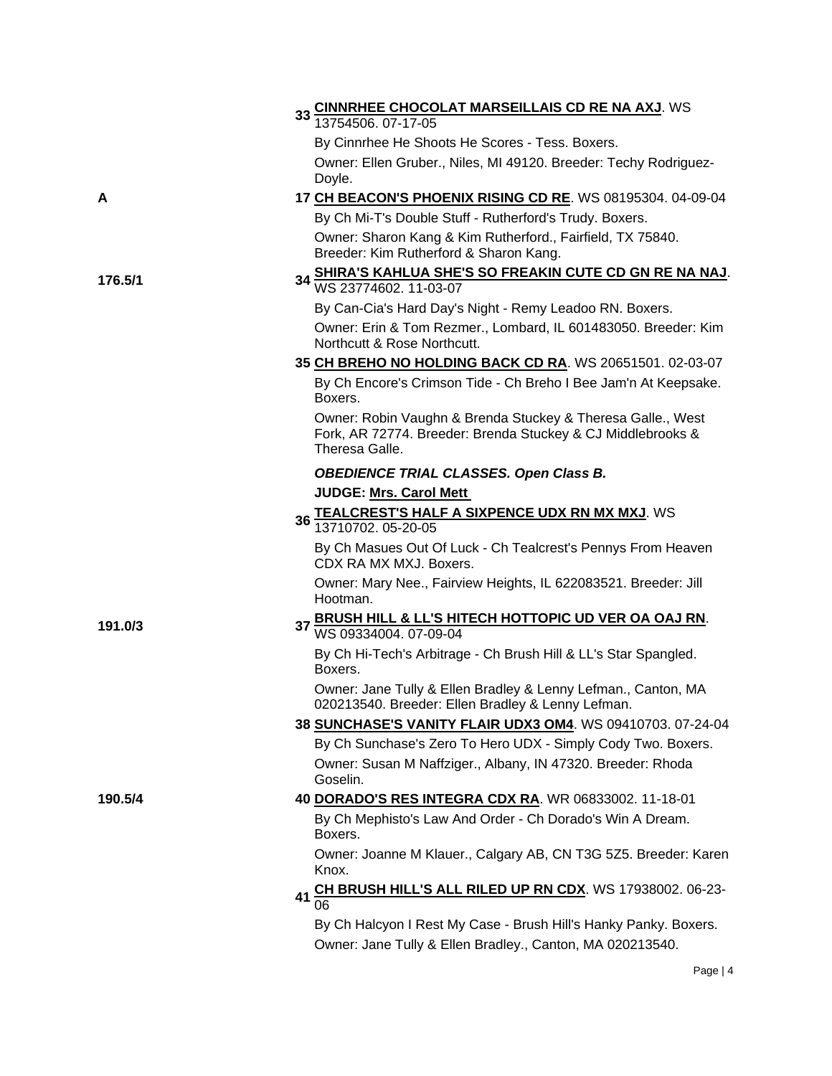|         | 33 CINNRHEE CHOCOLAT MARSEILLAIS CD RE NA AXJ. WS<br>13754506. 07-17-05                                                                      |
|---------|----------------------------------------------------------------------------------------------------------------------------------------------|
|         | By Cinnrhee He Shoots He Scores - Tess. Boxers.                                                                                              |
|         | Owner: Ellen Gruber., Niles, MI 49120. Breeder: Techy Rodriguez-                                                                             |
|         | Doyle.                                                                                                                                       |
| A       | 17 CH BEACON'S PHOENIX RISING CD RE. WS 08195304. 04-09-04                                                                                   |
|         | By Ch Mi-T's Double Stuff - Rutherford's Trudy. Boxers.                                                                                      |
|         | Owner: Sharon Kang & Kim Rutherford., Fairfield, TX 75840.<br>Breeder: Kim Rutherford & Sharon Kang.                                         |
| 176.5/1 | SHIRA'S KAHLUA SHE'S SO FREAKIN CUTE CD GN RE NA NAJ.<br>WS 23774602. 11-03-07                                                               |
|         | By Can-Cia's Hard Day's Night - Remy Leadoo RN. Boxers.                                                                                      |
|         | Owner: Erin & Tom Rezmer., Lombard, IL 601483050. Breeder: Kim<br>Northcutt & Rose Northcutt.                                                |
|         | 35 CH BREHO NO HOLDING BACK CD RA. WS 20651501. 02-03-07                                                                                     |
|         | By Ch Encore's Crimson Tide - Ch Breho I Bee Jam'n At Keepsake.<br>Boxers.                                                                   |
|         | Owner: Robin Vaughn & Brenda Stuckey & Theresa Galle., West<br>Fork, AR 72774. Breeder: Brenda Stuckey & CJ Middlebrooks &<br>Theresa Galle. |
|         | <b>OBEDIENCE TRIAL CLASSES. Open Class B.</b>                                                                                                |
|         | <b>JUDGE: Mrs. Carol Mett</b>                                                                                                                |
|         | 36 TEALCREST'S HALF A SIXPENCE UDX RN MX MXJ. WS<br>13710702. 05-20-05                                                                       |
|         | By Ch Masues Out Of Luck - Ch Tealcrest's Pennys From Heaven<br>CDX RA MX MXJ. Boxers.                                                       |
|         | Owner: Mary Nee., Fairview Heights, IL 622083521. Breeder: Jill<br>Hootman.                                                                  |
| 191.0/3 | 37 BRUSH HILL & LL'S HITECH HOTTOPIC UD VER OA OAJ RN.<br>WS 09334004. 07-09-04                                                              |
|         | By Ch Hi-Tech's Arbitrage - Ch Brush Hill & LL's Star Spangled.<br>Boxers.                                                                   |
|         | Owner: Jane Tully & Ellen Bradley & Lenny Lefman., Canton, MA<br>020213540. Breeder: Ellen Bradley & Lenny Lefman.                           |
|         | 38 SUNCHASE'S VANITY FLAIR UDX3 OM4. WS 09410703. 07-24-04                                                                                   |
|         | By Ch Sunchase's Zero To Hero UDX - Simply Cody Two. Boxers.                                                                                 |
|         | Owner: Susan M Naffziger., Albany, IN 47320. Breeder: Rhoda<br>Goselin.                                                                      |
| 190.5/4 | 40 DORADO'S RES INTEGRA CDX RA. WR 06833002. 11-18-01                                                                                        |
|         | By Ch Mephisto's Law And Order - Ch Dorado's Win A Dream.<br>Boxers.                                                                         |
|         | Owner: Joanne M Klauer., Calgary AB, CN T3G 5Z5. Breeder: Karen<br>Knox.                                                                     |
|         | CH BRUSH HILL'S ALL RILED UP RN CDX. WS 17938002. 06-23-<br>41                                                                               |
|         |                                                                                                                                              |
|         | By Ch Halcyon I Rest My Case - Brush Hill's Hanky Panky. Boxers.                                                                             |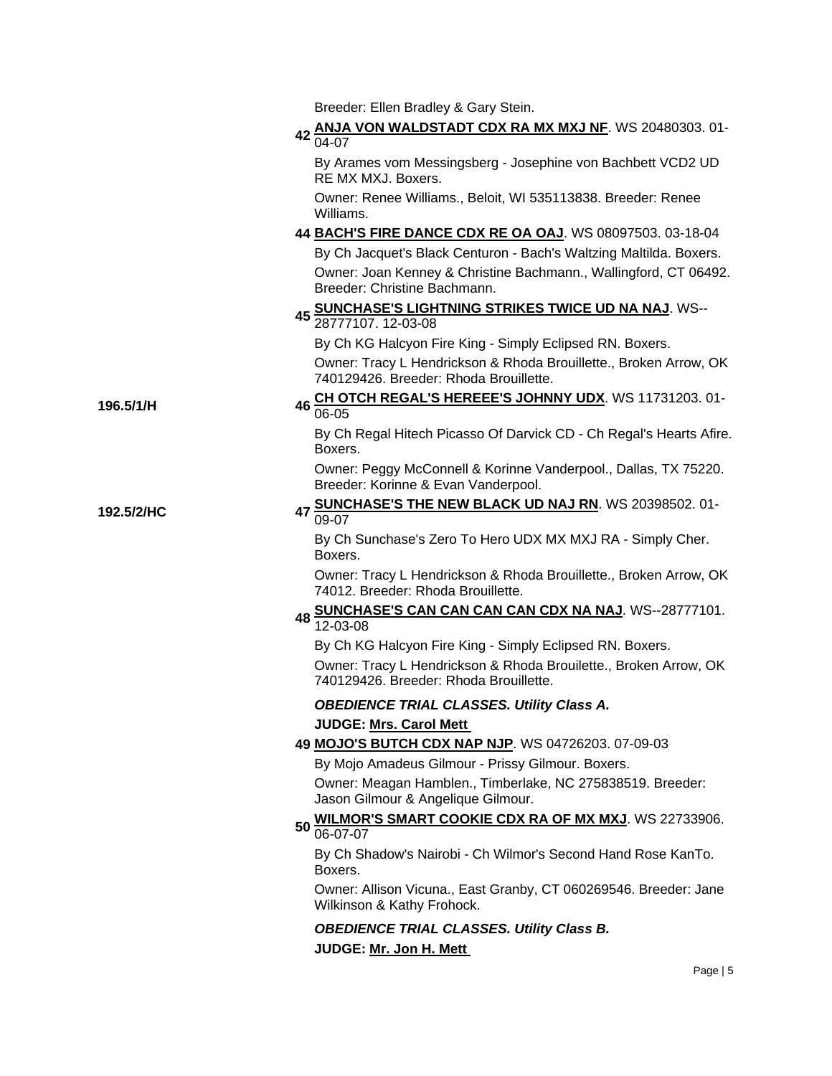Breeder: Ellen Bradley & Gary Stein.

Breeder: Korinne & Evan Vanderpool.

## **<sup>42</sup> [ANJA VON WALDSTADT CDX RA MX MXJ NF](http://canis.infodog.com/files/bdogrsl1.prg;makc=WS_20480303;mdog=Anja_von_Waldstadt_CDX_RA_MX_MXJ_NF;wins=all)**. WS 20480303. 01- 04-07

By Arames vom Messingsberg - Josephine von Bachbett VCD2 UD RE MX MXJ. Boxers.

Owner: Renee Williams., Beloit, WI 535113838. Breeder: Renee Williams.

## **44 [BACH'S FIRE DANCE CDX RE OA OAJ](http://canis.infodog.com/files/bdogrsl1.prg;makc=WS_08097503;mdog=Bach_s_Fire_Dance_CDX_RE_OA_OAJ;wins=all)**. WS 08097503. 03-18-04 By Ch Jacquet's Black Centuron - Bach's Waltzing Maltilda. Boxers. Owner: Joan Kenney & Christine Bachmann., Wallingford, CT 06492. Breeder: Christine Bachmann.

# **<sup>45</sup> [SUNCHASE'S LIGHTNING STRIKES TWICE UD NA NAJ](http://canis.infodog.com/files/bdogrsl1.prg;makc=WS--28777107;mdog=Sunchase_s_Lightning_Strikes_Twice_UD_NA_NAJ;wins=all)**. WS-- 28777107. 12-03-08

By Ch KG Halcyon Fire King - Simply Eclipsed RN. Boxers.

Owner: Tracy L Hendrickson & Rhoda Brouillette., Broken Arrow, OK 740129426. Breeder: Rhoda Brouillette.

By Ch Regal Hitech Picasso Of Darvick CD - Ch Regal's Hearts Afire.

Owner: Peggy McConnell & Korinne Vanderpool., Dallas, TX 75220.

**196.5/1/H <sup>46</sup> [CH OTCH REGAL'S HEREEE'S JOHNNY UDX](http://canis.infodog.com/files/bdogrsl1.prg;makc=WS_11731203;mdog=Ch_OTCH_Regal_s_Hereee_s_Johnny_UDX;wins=all)**. WS 11731203. 01- 06-05

## **192.5/2/HC 47 [SUNCHASE'S THE NEW BLACK UD NAJ RN](http://canis.infodog.com/files/bdogrsl1.prg;makc=WS_20398502;mdog=Sunchase_s_The_New_Black_UD_NAJ_RN;wins=all)**. WS 20398502. 01-09-07

By Ch Sunchase's Zero To Hero UDX MX MXJ RA - Simply Cher. Boxers.

Owner: Tracy L Hendrickson & Rhoda Brouillette., Broken Arrow, OK 74012. Breeder: Rhoda Brouillette.

# **<sup>48</sup> [SUNCHASE'S CAN CAN CAN CAN CDX NA NAJ](http://canis.infodog.com/files/bdogrsl1.prg;makc=WS--28777101;mdog=Sunchase_s_Can_Can_Can_Can_CDX_NA_NAJ;wins=all)**. WS--28777101. 12-03-08

By Ch KG Halcyon Fire King - Simply Eclipsed RN. Boxers.

Owner: Tracy L Hendrickson & Rhoda Brouilette., Broken Arrow, OK 740129426. Breeder: Rhoda Brouillette.

## *OBEDIENCE TRIAL CLASSES. Utility Class A.*

## **JUDGE: [Mrs. Carol Mett](http://www.infodog.com/judges/7536/juddat.htm)**

Boxers.

## **49 [MOJO'S BUTCH CDX NAP NJP](http://canis.infodog.com/files/bdogrsl1.prg;makc=WS_04726203;mdog=Mojo_s_Butch_CDX_NAP_NJP;wins=all)**. WS 04726203. 07-09-03

By Mojo Amadeus Gilmour - Prissy Gilmour. Boxers.

Owner: Meagan Hamblen., Timberlake, NC 275838519. Breeder: Jason Gilmour & Angelique Gilmour.

#### **<sup>50</sup> [WILMOR'S SMART COOKIE CDX RA OF MX MXJ](http://canis.infodog.com/files/bdogrsl1.prg;makc=WS_22733906;mdog=Wilmor_s_Smart_Cookie_CDX_RA_OF_MX_MXJ;wins=all)**. WS 22733906. 06-07-07

By Ch Shadow's Nairobi - Ch Wilmor's Second Hand Rose KanTo. Boxers.

Owner: Allison Vicuna., East Granby, CT 060269546. Breeder: Jane Wilkinson & Kathy Frohock.

*OBEDIENCE TRIAL CLASSES. Utility Class B.* **JUDGE: [Mr. Jon H. Mett](http://www.infodog.com/judges/4659/juddat.htm)**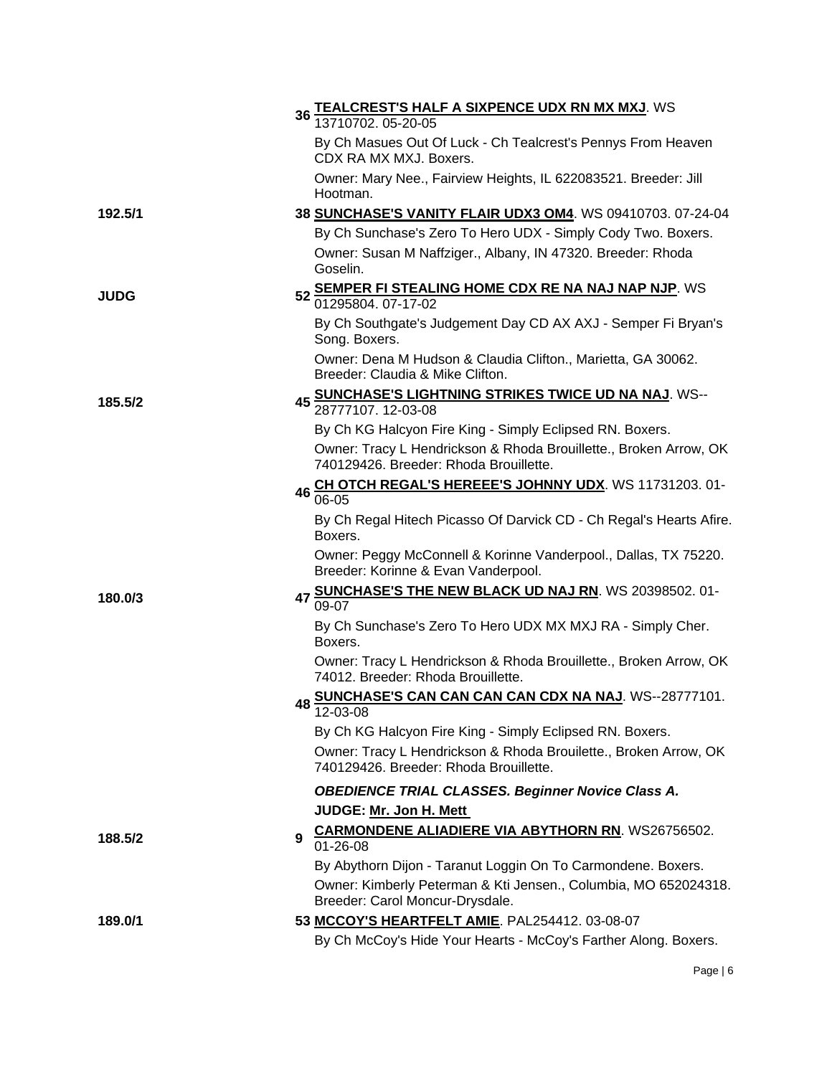|             | TEALCREST'S HALF A SIXPENCE UDX RN MX MXJ. WS<br>13710702, 05-20-05<br>36 <sub>1</sub>                     |
|-------------|------------------------------------------------------------------------------------------------------------|
|             | By Ch Masues Out Of Luck - Ch Tealcrest's Pennys From Heaven<br>CDX RA MX MXJ. Boxers.                     |
|             | Owner: Mary Nee., Fairview Heights, IL 622083521. Breeder: Jill<br>Hootman.                                |
| 192.5/1     | 38 SUNCHASE'S VANITY FLAIR UDX3 OM4. WS 09410703. 07-24-04                                                 |
|             | By Ch Sunchase's Zero To Hero UDX - Simply Cody Two. Boxers.                                               |
|             | Owner: Susan M Naffziger., Albany, IN 47320. Breeder: Rhoda<br>Goselin.                                    |
| <b>JUDG</b> | <b>SEMPER FI STEALING HOME CDX RE NA NAJ NAP NJP. WS</b><br>52<br>01295804, 07-17-02                       |
|             | By Ch Southgate's Judgement Day CD AX AXJ - Semper Fi Bryan's<br>Song. Boxers.                             |
|             | Owner: Dena M Hudson & Claudia Clifton., Marietta, GA 30062.<br>Breeder: Claudia & Mike Clifton.           |
| 185.5/2     | 45 SUNCHASE'S LIGHTNING STRIKES TWICE UD NA NAJ. WS--<br>28777107. 12-03-08                                |
|             | By Ch KG Halcyon Fire King - Simply Eclipsed RN. Boxers.                                                   |
|             | Owner: Tracy L Hendrickson & Rhoda Brouillette., Broken Arrow, OK                                          |
|             | 740129426. Breeder: Rhoda Brouillette.                                                                     |
|             | 46 CH OTCH REGAL'S HEREEE'S JOHNNY UDX. WS 11731203. 01-<br>06-05                                          |
|             | By Ch Regal Hitech Picasso Of Darvick CD - Ch Regal's Hearts Afire.<br>Boxers.                             |
|             | Owner: Peggy McConnell & Korinne Vanderpool., Dallas, TX 75220.<br>Breeder: Korinne & Evan Vanderpool.     |
| 180.0/3     | 47 SUNCHASE'S THE NEW BLACK UD NAJ RN. WS 20398502. 01-<br>09-07                                           |
|             | By Ch Sunchase's Zero To Hero UDX MX MXJ RA - Simply Cher.<br>Boxers.                                      |
|             | Owner: Tracy L Hendrickson & Rhoda Brouillette., Broken Arrow, OK<br>74012. Breeder: Rhoda Brouillette.    |
|             | 48 SUNCHASE'S CAN CAN CAN CAN CDX NA NAJ. WS--28777101.<br>$\overline{1}$ 2-03-08                          |
|             | By Ch KG Halcyon Fire King - Simply Eclipsed RN. Boxers.                                                   |
|             | Owner: Tracy L Hendrickson & Rhoda Brouilette., Broken Arrow, OK<br>740129426. Breeder: Rhoda Brouillette. |
|             | <b>OBEDIENCE TRIAL CLASSES. Beginner Novice Class A.</b>                                                   |
|             | JUDGE: Mr. Jon H. Mett                                                                                     |
| 188.5/2     | <b>CARMONDENE ALIADIERE VIA ABYTHORN RN. WS26756502.</b><br>9<br>01-26-08                                  |
|             | By Abythorn Dijon - Taranut Loggin On To Carmondene. Boxers.                                               |
|             | Owner: Kimberly Peterman & Kti Jensen., Columbia, MO 652024318.<br>Breeder: Carol Moncur-Drysdale.         |
| 189.0/1     | 53 MCCOY'S HEARTFELT AMIE. PAL254412. 03-08-07                                                             |
|             | By Ch McCoy's Hide Your Hearts - McCoy's Farther Along. Boxers.                                            |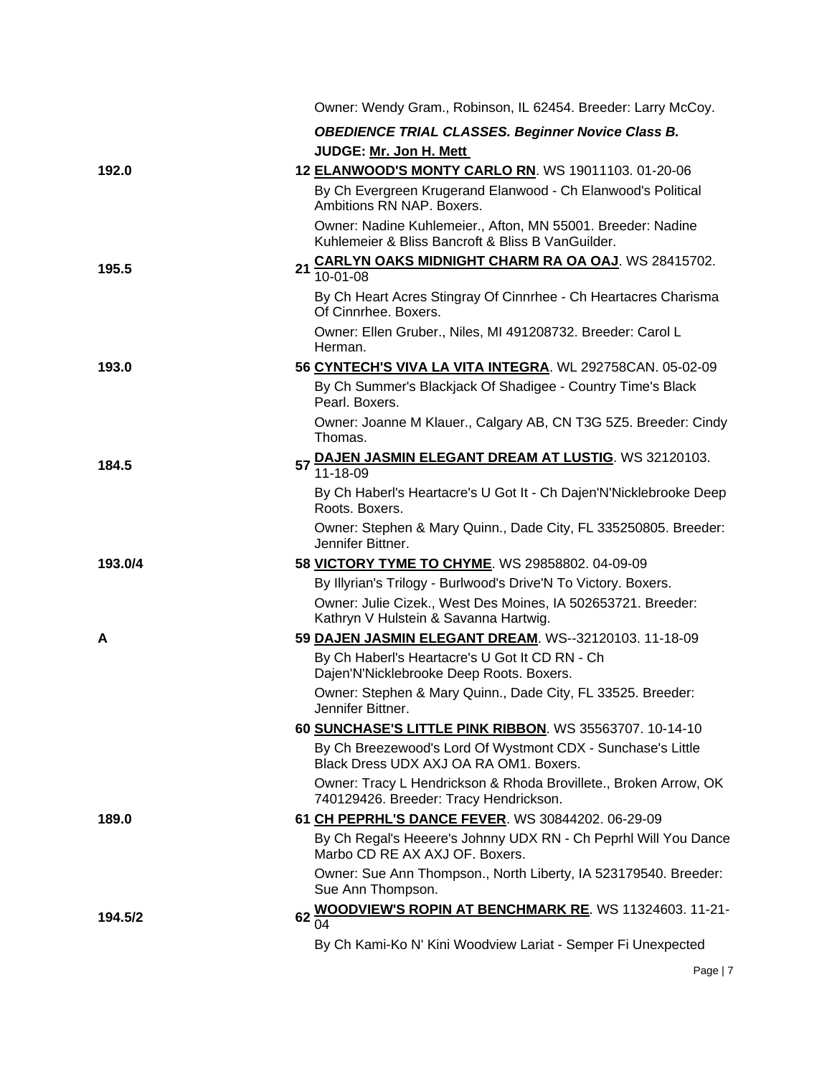|         | Owner: Wendy Gram., Robinson, IL 62454. Breeder: Larry McCoy.                                                    |
|---------|------------------------------------------------------------------------------------------------------------------|
|         | <b>OBEDIENCE TRIAL CLASSES. Beginner Novice Class B.</b>                                                         |
|         | JUDGE: Mr. Jon H. Mett                                                                                           |
| 192.0   | 12 ELANWOOD'S MONTY CARLO RN. WS 19011103. 01-20-06                                                              |
|         | By Ch Evergreen Krugerand Elanwood - Ch Elanwood's Political<br>Ambitions RN NAP. Boxers.                        |
|         | Owner: Nadine Kuhlemeier., Afton, MN 55001. Breeder: Nadine<br>Kuhlemeier & Bliss Bancroft & Bliss B VanGuilder. |
| 195.5   | 21 CARLYN OAKS MIDNIGHT CHARM RA OA OAJ. WS 28415702.<br>$10 - 01 - 08$                                          |
|         | By Ch Heart Acres Stingray Of Cinnrhee - Ch Heartacres Charisma<br>Of Cinnrhee. Boxers.                          |
|         | Owner: Ellen Gruber., Niles, MI 491208732. Breeder: Carol L<br>Herman.                                           |
| 193.0   | 56 CYNTECH'S VIVA LA VITA INTEGRA. WL 292758CAN. 05-02-09                                                        |
|         | By Ch Summer's Blackjack Of Shadigee - Country Time's Black<br>Pearl. Boxers.                                    |
|         | Owner: Joanne M Klauer., Calgary AB, CN T3G 5Z5. Breeder: Cindy<br>Thomas.                                       |
| 184.5   | 57 DAJEN JASMIN ELEGANT DREAM AT LUSTIG. WS 32120103.                                                            |
|         | By Ch Haberl's Heartacre's U Got It - Ch Dajen'N'Nicklebrooke Deep<br>Roots. Boxers.                             |
|         | Owner: Stephen & Mary Quinn., Dade City, FL 335250805. Breeder:<br>Jennifer Bittner.                             |
| 193.0/4 | 58 VICTORY TYME TO CHYME. WS 29858802. 04-09-09                                                                  |
|         | By Illyrian's Trilogy - Burlwood's Drive'N To Victory. Boxers.                                                   |
|         | Owner: Julie Cizek., West Des Moines, IA 502653721. Breeder:<br>Kathryn V Hulstein & Savanna Hartwig.            |
| A       | 59 DAJEN JASMIN ELEGANT DREAM. WS--32120103. 11-18-09                                                            |
|         | By Ch Haberl's Heartacre's U Got It CD RN - Ch<br>Dajen'N'Nicklebrooke Deep Roots. Boxers.                       |
|         | Owner: Stephen & Mary Quinn., Dade City, FL 33525. Breeder:<br>Jennifer Bittner.                                 |
|         | 60 SUNCHASE'S LITTLE PINK RIBBON. WS 35563707. 10-14-10                                                          |
|         | By Ch Breezewood's Lord Of Wystmont CDX - Sunchase's Little<br>Black Dress UDX AXJ OA RA OM1, Boxers.            |
|         | Owner: Tracy L Hendrickson & Rhoda Brovillete., Broken Arrow, OK<br>740129426. Breeder: Tracy Hendrickson.       |
| 189.0   | 61 CH PEPRHL'S DANCE FEVER. WS 30844202. 06-29-09                                                                |
|         | By Ch Regal's Heeere's Johnny UDX RN - Ch Peprhl Will You Dance<br>Marbo CD RE AX AXJ OF. Boxers.                |
|         | Owner: Sue Ann Thompson., North Liberty, IA 523179540. Breeder:<br>Sue Ann Thompson.                             |
| 194.5/2 | <b>WOODVIEW'S ROPIN AT BENCHMARK RE. WS 11324603. 11-21-</b><br>62<br>$\overline{04}$                            |
|         | By Ch Kami-Ko N' Kini Woodview Lariat - Semper Fi Unexpected                                                     |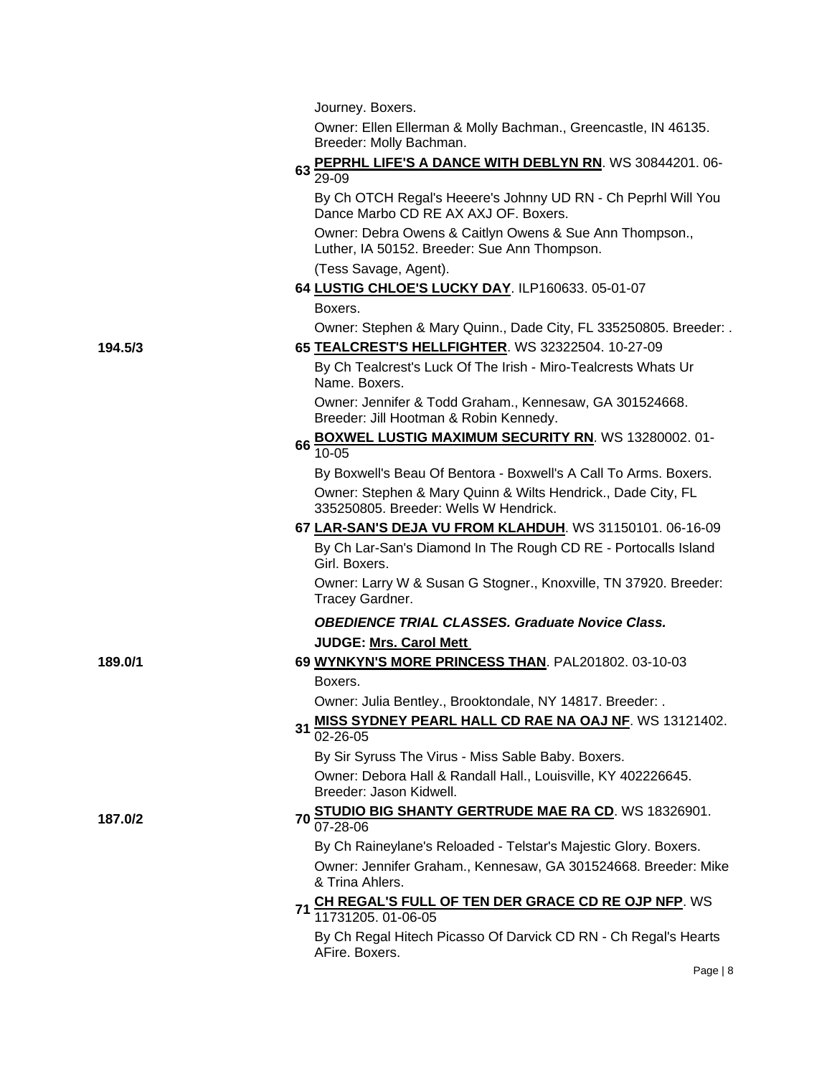Journey. Boxers.

Owner: Ellen Ellerman & Molly Bachman., Greencastle, IN 46135. Breeder: Molly Bachman.

|         | 63 PEPRHL LIFE'S A DANCE WITH DEBLYN RN. WS 30844201. 06-<br>29-09                                      |
|---------|---------------------------------------------------------------------------------------------------------|
|         | By Ch OTCH Regal's Heeere's Johnny UD RN - Ch Peprhl Will You<br>Dance Marbo CD RE AX AXJ OF. Boxers.   |
|         | Owner: Debra Owens & Caitlyn Owens & Sue Ann Thompson.,<br>Luther, IA 50152. Breeder: Sue Ann Thompson. |
|         | (Tess Savage, Agent).                                                                                   |
|         | 64 LUSTIG CHLOE'S LUCKY DAY. ILP160633. 05-01-07                                                        |
|         | Boxers.                                                                                                 |
|         | Owner: Stephen & Mary Quinn., Dade City, FL 335250805. Breeder: .                                       |
| 194.5/3 | 65 TEALCREST'S HELLFIGHTER. WS 32322504. 10-27-09                                                       |
|         | By Ch Tealcrest's Luck Of The Irish - Miro-Tealcrests Whats Ur<br>Name. Boxers.                         |
|         | Owner: Jennifer & Todd Graham., Kennesaw, GA 301524668.<br>Breeder: Jill Hootman & Robin Kennedy.       |
|         | 66 BOXWEL LUSTIG MAXIMUM SECURITY RN. WS 13280002. 01-<br>$10 - 05$                                     |
|         | By Boxwell's Beau Of Bentora - Boxwell's A Call To Arms. Boxers.                                        |
|         | Owner: Stephen & Mary Quinn & Wilts Hendrick., Dade City, FL<br>335250805. Breeder: Wells W Hendrick.   |
|         | 67 LAR-SAN'S DEJA VU FROM KLAHDUH. WS 31150101. 06-16-09                                                |
|         | By Ch Lar-San's Diamond In The Rough CD RE - Portocalls Island<br>Girl. Boxers.                         |
|         | Owner: Larry W & Susan G Stogner., Knoxville, TN 37920. Breeder:<br>Tracey Gardner.                     |
|         | <b>OBEDIENCE TRIAL CLASSES. Graduate Novice Class.</b>                                                  |
|         | <b>JUDGE: Mrs. Carol Mett</b>                                                                           |
| 189.0/1 | 69 WYNKYN'S MORE PRINCESS THAN. PAL201802. 03-10-03                                                     |
|         | Boxers.                                                                                                 |
|         | Owner: Julia Bentley., Brooktondale, NY 14817. Breeder: .                                               |
|         | MISS SYDNEY PEARL HALL CD RAE NA OAJ NF. WS 13121402.                                                   |
|         | 31<br>02-26-05                                                                                          |
|         | By Sir Syruss The Virus - Miss Sable Baby. Boxers.                                                      |
|         | Owner: Debora Hall & Randall Hall., Louisville, KY 402226645.<br>Breeder: Jason Kidwell.                |
| 187.0/2 | STUDIO BIG SHANTY GERTRUDE MAE RA CD. WS 18326901.<br>$70\frac{64}{07-28-06}$                           |
|         | By Ch Raineylane's Reloaded - Telstar's Majestic Glory. Boxers.                                         |
|         | Owner: Jennifer Graham., Kennesaw, GA 301524668. Breeder: Mike<br>& Trina Ahlers.                       |
|         | CH REGAL'S FULL OF TEN DER GRACE CD RE OJP NFP. WS<br>11731205. 01-06-05<br>71                          |
|         | By Ch Regal Hitech Picasso Of Darvick CD RN - Ch Regal's Hearts<br>AFire. Boxers.                       |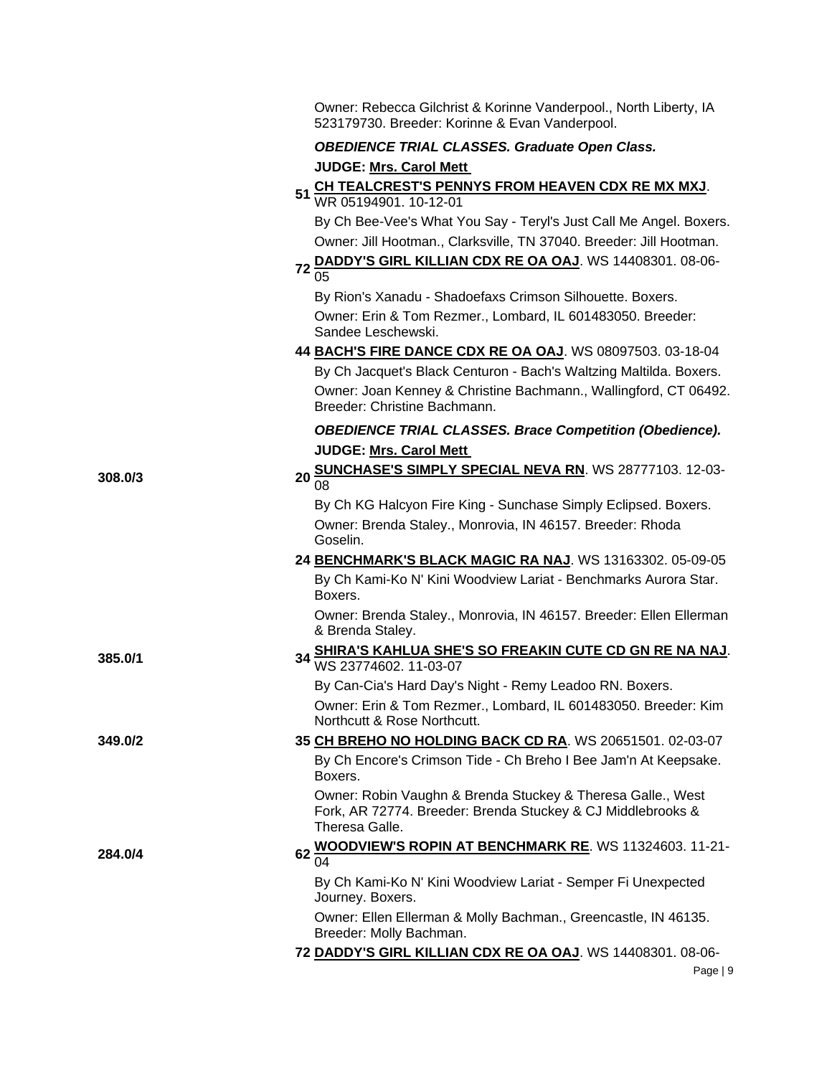|         | Owner: Rebecca Gilchrist & Korinne Vanderpool., North Liberty, IA<br>523179730. Breeder: Korinne & Evan Vanderpool.                          |
|---------|----------------------------------------------------------------------------------------------------------------------------------------------|
|         | <b>OBEDIENCE TRIAL CLASSES. Graduate Open Class.</b>                                                                                         |
|         | <b>JUDGE: Mrs. Carol Mett</b>                                                                                                                |
|         | CH TEALCREST'S PENNYS FROM HEAVEN CDX RE MX MXJ.<br>51                                                                                       |
|         | WR 05194901. 10-12-01                                                                                                                        |
|         | By Ch Bee-Vee's What You Say - Teryl's Just Call Me Angel. Boxers.                                                                           |
|         | Owner: Jill Hootman., Clarksville, TN 37040. Breeder: Jill Hootman.                                                                          |
|         | DADDY'S GIRL KILLIAN CDX RE OA OAJ. WS 14408301. 08-06-<br>72<br>0 <sub>5</sub>                                                              |
|         | By Rion's Xanadu - Shadoefaxs Crimson Silhouette. Boxers.                                                                                    |
|         | Owner: Erin & Tom Rezmer., Lombard, IL 601483050. Breeder:<br>Sandee Leschewski.                                                             |
|         | 44 BACH'S FIRE DANCE CDX RE OA OAJ. WS 08097503. 03-18-04                                                                                    |
|         | By Ch Jacquet's Black Centuron - Bach's Waltzing Maltilda. Boxers.                                                                           |
|         | Owner: Joan Kenney & Christine Bachmann., Wallingford, CT 06492.<br>Breeder: Christine Bachmann.                                             |
|         | <b>OBEDIENCE TRIAL CLASSES. Brace Competition (Obedience).</b>                                                                               |
|         | <b>JUDGE: Mrs. Carol Mett</b>                                                                                                                |
| 308.0/3 | SUNCHASE'S SIMPLY SPECIAL NEVA RN. WS 28777103. 12-03-<br>20<br>08                                                                           |
|         | By Ch KG Halcyon Fire King - Sunchase Simply Eclipsed. Boxers.                                                                               |
|         | Owner: Brenda Staley., Monrovia, IN 46157. Breeder: Rhoda<br>Goselin.                                                                        |
|         | 24 BENCHMARK'S BLACK MAGIC RA NAJ. WS 13163302. 05-09-05                                                                                     |
|         | By Ch Kami-Ko N' Kini Woodview Lariat - Benchmarks Aurora Star.<br>Boxers.                                                                   |
|         | Owner: Brenda Staley., Monrovia, IN 46157. Breeder: Ellen Ellerman<br>& Brenda Staley.                                                       |
| 385.0/1 | SHIRA'S KAHLUA SHE'S SO FREAKIN CUTE CD GN RE NA NAJ.<br>WS 23774602. 11-03-07<br>34                                                         |
|         |                                                                                                                                              |
|         | By Can-Cia's Hard Day's Night - Remy Leadoo RN. Boxers.<br>Owner: Erin & Tom Rezmer., Lombard, IL 601483050. Breeder: Kim                    |
|         | Northcutt & Rose Northcutt.                                                                                                                  |
| 349.0/2 | 35 CH BREHO NO HOLDING BACK CD RA. WS 20651501. 02-03-07                                                                                     |
|         | By Ch Encore's Crimson Tide - Ch Breho I Bee Jam'n At Keepsake.<br>Boxers.                                                                   |
|         | Owner: Robin Vaughn & Brenda Stuckey & Theresa Galle., West<br>Fork, AR 72774. Breeder: Brenda Stuckey & CJ Middlebrooks &<br>Theresa Galle. |
| 284.0/4 | <b>WOODVIEW'S ROPIN AT BENCHMARK RE. WS 11324603. 11-21-</b><br>62<br>04                                                                     |
|         | By Ch Kami-Ko N' Kini Woodview Lariat - Semper Fi Unexpected<br>Journey. Boxers.                                                             |
|         | Owner: Ellen Ellerman & Molly Bachman., Greencastle, IN 46135.<br>Breeder: Molly Bachman.                                                    |
|         | 72 DADDY'S GIRL KILLIAN CDX RE OA OAJ. WS 14408301. 08-06-                                                                                   |
|         | Page $ 9$                                                                                                                                    |